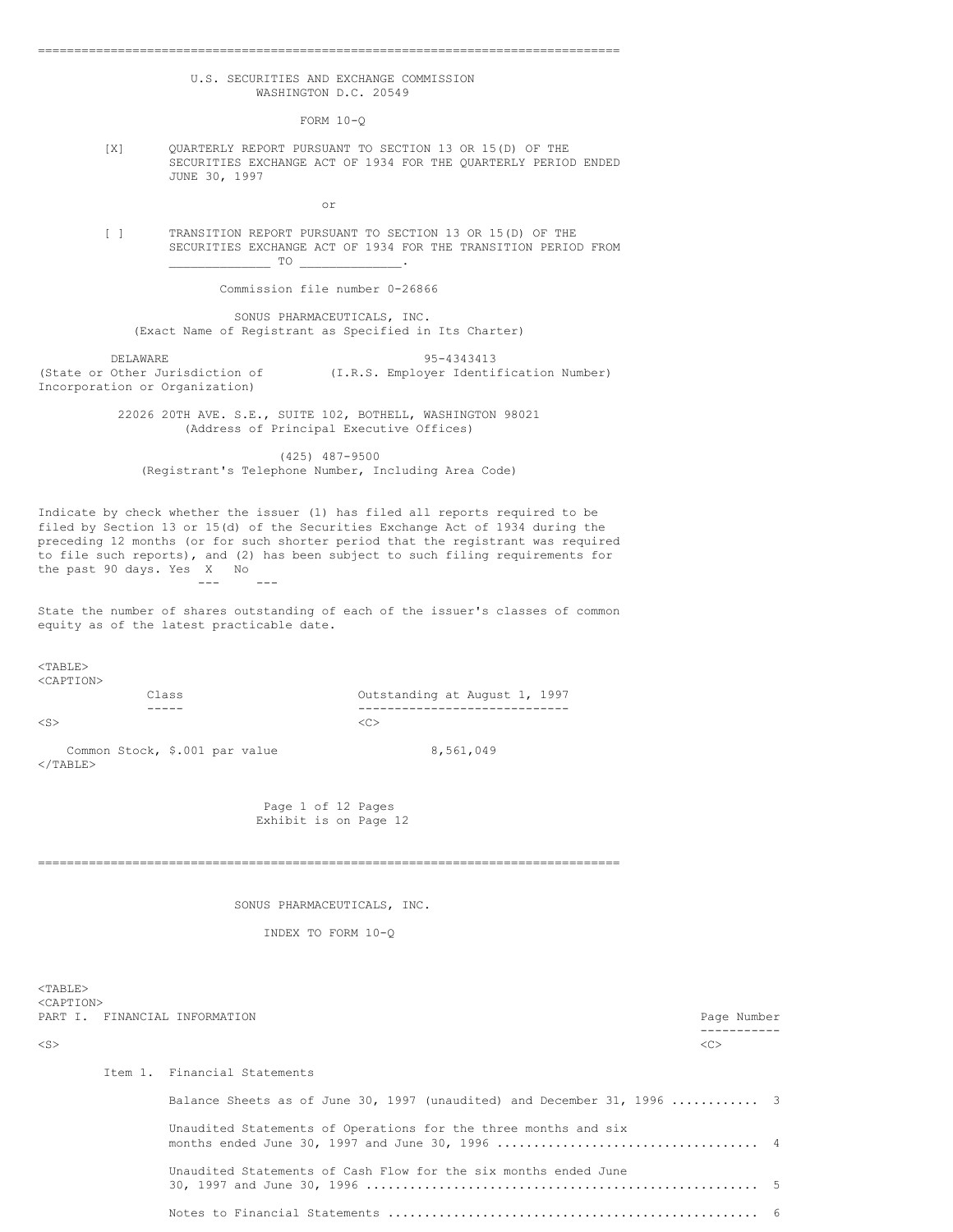## U.S. SECURITIES AND EXCHANGE COMMISSION WASHINGTON D.C. 20549

================================================================================

 $FORM 10-0$ 

[X] QUARTERLY REPORT PURSUANT TO SECTION 13 OR 15(D) OF THE SECURITIES EXCHANGE ACT OF 1934 FOR THE QUARTERLY PERIOD ENDED JUNE 30, 1997

or

[ ] TRANSITION REPORT PURSUANT TO SECTION 13 OR 15(D) OF THE SECURITIES EXCHANGE ACT OF 1934 FOR THE TRANSITION PERIOD FROM  $TO$ 

Commission file number 0-26866

SONUS PHARMACEUTICALS, INC. (Exact Name of Registrant as Specified in Its Charter)

DELAWARE 95-4343413 (State or Other Jurisdiction of (I.R.S. Employer Identification Number) Incorporation or Organization)

> 22026 20TH AVE. S.E., SUITE 102, BOTHELL, WASHINGTON 98021 (Address of Principal Executive Offices)

(425) 487-9500 (Registrant's Telephone Number, Including Area Code)

Indicate by check whether the issuer (1) has filed all reports required to be filed by Section 13 or 15(d) of the Securities Exchange Act of 1934 during the preceding 12 months (or for such shorter period that the registrant was required to file such reports), and (2) has been subject to such filing requirements for the past 90 days. Yes X No  $--$ 

State the number of shares outstanding of each of the issuer's classes of common equity as of the latest practicable date.

 $<$ TABLE> <CAPTION>

Class Outstanding at August 1, 1997 ----- -----------------------------  $\langle$ S>  $\langle$ C>

Common Stock,  $$.001$  par value 8,561,049  $<$ /TABLE>

> Page 1 of 12 Pages Exhibit is on Page 12

================================================================================

SONUS PHARMACEUTICALS, INC.

INDEX TO FORM 10-Q

<TABLE> <CAPTION> PART I. FINANCIAL INFORMATION **PART I.** PART I. PART I. PART I. PART I. PART I. PART I. PART I. PART I. PART I. PART I. PART I. PART I. PART I. PART I. PART I. PART I. PART I. PART I. PART I. PART I. PART I. PART I. PART I ----------- <S> <C> Item 1. Financial Statements Balance Sheets as of June 30, 1997 (unaudited) and December 31, 1996 ............ 3 Unaudited Statements of Operations for the three months and six months ended June 30, 1997 and June 30, 1996 .................................... 4 Unaudited Statements of Cash Flow for the six months ended June 30, 1997 and June 30, 1996 ...................................................... 5 Notes to Financial Statements ................................................... 6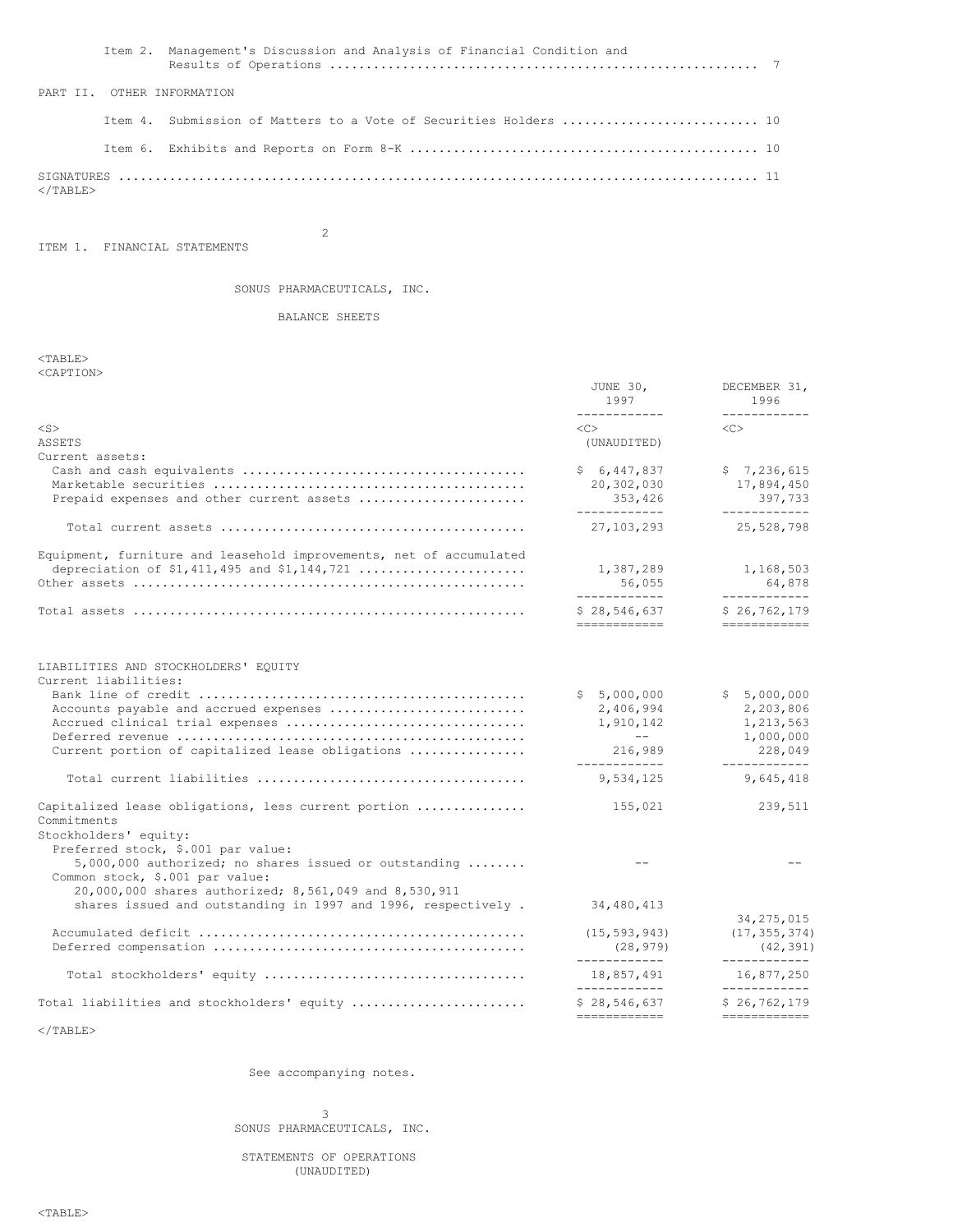| Item 2. Management's Discussion and Analysis of Financial Condition and |  |
|-------------------------------------------------------------------------|--|
| PART II. OTHER INFORMATION                                              |  |
| Item 4. Submission of Matters to a Vote of Securities Holders  10       |  |
|                                                                         |  |
| $<$ /TABLE>                                                             |  |

ITEM 1. FINANCIAL STATEMENTS

2

# SONUS PHARMACEUTICALS, INC.

# BALANCE SHEETS

<TABLE> <CAPTION>

|                                                                                                                                                     | JUNE 30,<br>1997<br>------------                                  | DECEMBER 31,<br>1996<br>------------                 |
|-----------------------------------------------------------------------------------------------------------------------------------------------------|-------------------------------------------------------------------|------------------------------------------------------|
| $<$ S $>$<br>ASSETS                                                                                                                                 | $<<$ $>$<br>(UNAUDITED)                                           | $<<$ $>$                                             |
| Current assets:<br>Prepaid expenses and other current assets                                                                                        | \$6,447,837<br>20,302,030<br>353,426<br>-------------             | \$7,236,615<br>17,894,450<br>397,733<br>____________ |
|                                                                                                                                                     | 27, 103, 293                                                      | 25,528,798                                           |
| Equipment, furniture and leasehold improvements, net of accumulated<br>depreciation of \$1,411,495 and \$1,144,721                                  | 1,387,289<br>56,055<br>____________                               | 1,168,503<br>64,878<br>____________                  |
|                                                                                                                                                     | \$28,546,637<br>------------                                      | \$26, 762, 179<br>------------                       |
| LIABILITIES AND STOCKHOLDERS' EQUITY<br>Current liabilities:<br>Accounts payable and accrued expenses                                               | \$5,000,000<br>2,406,994<br>1,910,142<br><b>Contract Contract</b> | \$5,000,000<br>2,203,806<br>1,213,563<br>1,000,000   |
| Current portion of capitalized lease obligations                                                                                                    | 216,989<br>-------------                                          | 228,049<br>------------                              |
|                                                                                                                                                     | 9,534,125                                                         | 9,645,418                                            |
| Capitalized lease obligations, less current portion<br>Commitments<br>Stockholders' equity:<br>Preferred stock, \$.001 par value:                   | 155,021                                                           | 239,511                                              |
| $5,000,000$ authorized; no shares issued or outstanding<br>Common stock, \$.001 par value:<br>20,000,000 shares authorized; 8,561,049 and 8,530,911 |                                                                   |                                                      |
| shares issued and outstanding in 1997 and 1996, respectively.                                                                                       | 34,480,413                                                        | 34, 275, 015                                         |
|                                                                                                                                                     | (15, 593, 943)<br>(28, 979)<br>-------------                      | (17, 355, 374)<br>(42, 391)<br>____________          |
|                                                                                                                                                     | 18,857,491<br>-------------                                       | 16,877,250<br>____________                           |
| Total liabilities and stockholders' equity                                                                                                          | \$28,546,637<br>-------------                                     | \$26, 762, 179<br>============                       |
| $2$ /mantrs                                                                                                                                         |                                                                   |                                                      |

 $<$ /TABLE>

See accompanying notes.

3 SONUS PHARMACEUTICALS, INC.

STATEMENTS OF OPERATIONS (UNAUDITED)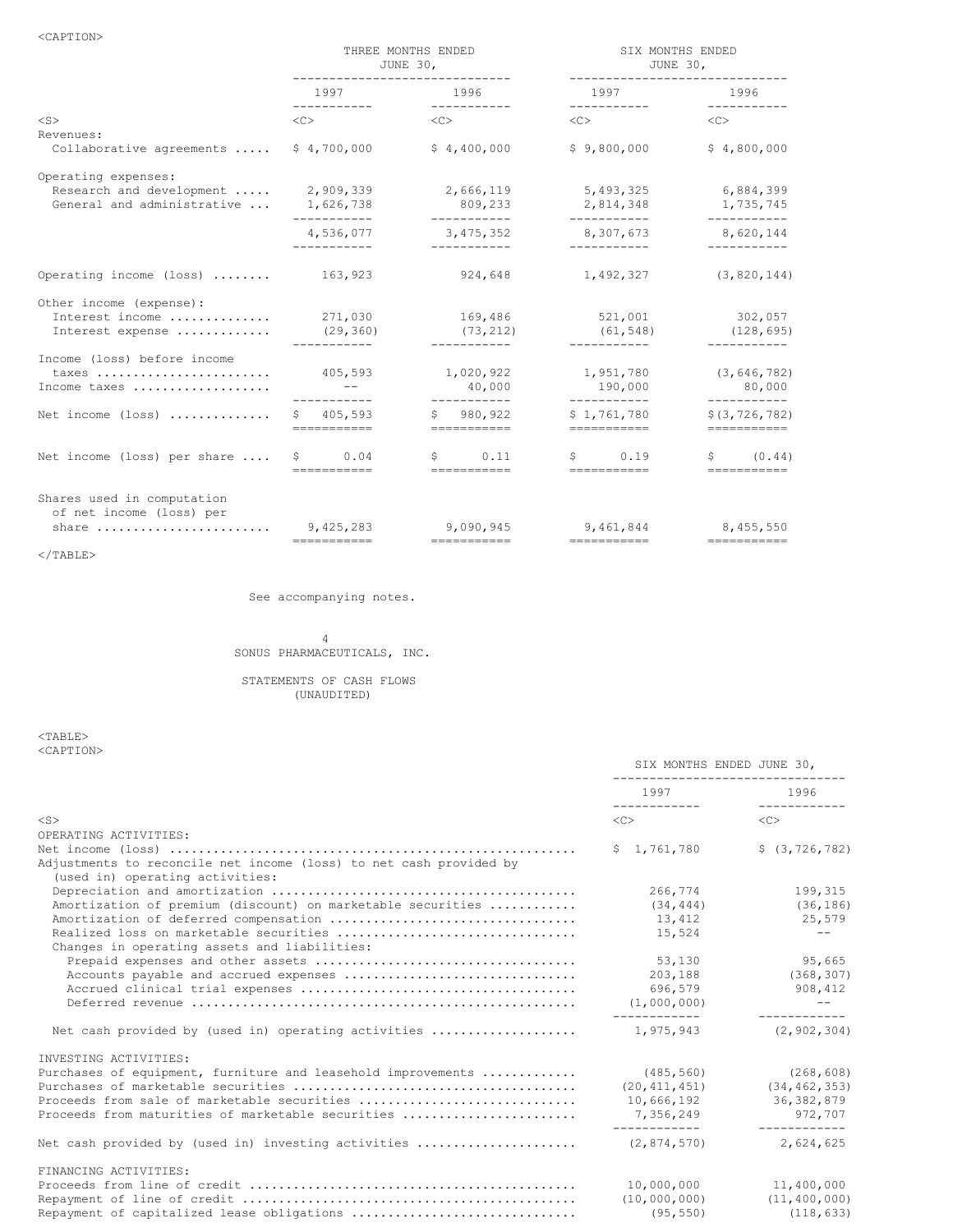<CAPTION>

|                                                                               | THREE MONTHS ENDED<br>JUNE 30,<br>------------------------------- |                                                                                                                              | SIX MONTHS ENDED<br>JUNE 30,<br>-------------------------------                                                                                                                                                                              |                                        |  |
|-------------------------------------------------------------------------------|-------------------------------------------------------------------|------------------------------------------------------------------------------------------------------------------------------|----------------------------------------------------------------------------------------------------------------------------------------------------------------------------------------------------------------------------------------------|----------------------------------------|--|
|                                                                               |                                                                   | 1997 1996                                                                                                                    | 1997 1996                                                                                                                                                                                                                                    | ___________                            |  |
| $<$ S><br>Revenues:                                                           | $\langle C \rangle$                                               | $\langle$ C> $\langle$ C>                                                                                                    | $\langle C \rangle$                                                                                                                                                                                                                          | $\langle C \rangle$                    |  |
| Collaborative agreements                                                      | \$4,700,000                                                       | \$4,400,000                                                                                                                  | \$9,800,000                                                                                                                                                                                                                                  | \$4,800,000                            |  |
| Operating expenses:<br>Research and development<br>General and administrative | 2,909,339<br>1,626,738<br>-----------                             | 2,666,119<br>809,233<br>-----------                                                                                          | 5,493,325<br>2,814,348<br>-----------                                                                                                                                                                                                        | 6,884,399<br>1,735,745<br>-----------  |  |
|                                                                               | 4,536,077<br>------------                                         | 3,475,352<br>___________                                                                                                     | 8,307,673 8,620,144<br>___________                                                                                                                                                                                                           | ------------                           |  |
| Operating income (loss)                                                       | 163,923                                                           | 924,648                                                                                                                      | 1,492,327                                                                                                                                                                                                                                    | (3, 820, 144)                          |  |
| Other income (expense):<br>Interest income<br>Interest expense                | 271,030<br>(29, 360)<br>-----------                               | 169,486<br>(73, 212)<br>___________                                                                                          | 521,001<br>(61, 548)<br>___________                                                                                                                                                                                                          | 302,057<br>(128, 695)                  |  |
| Income (loss) before income<br>taxes<br>Income taxes                          | 405,593                                                           | 1,020,922<br>40,000<br>-----------                                                                                           | 1,951,780<br>190,000<br>___________                                                                                                                                                                                                          | (3, 646, 782)<br>80,000<br>----------- |  |
| Net income (loss)                                                             | \$405,593<br>===========                                          | \$980.922<br>===========                                                                                                     | \$1.761.780<br>===========                                                                                                                                                                                                                   | \$ (3, 726, 782)                       |  |
| Net income (loss) per share                                                   | $\sim 0.04$<br>===========                                        | $\sin 0.11$<br>and the companies of the companies of the companies of the companies of the companies of the companies of the | $\sim$ 0.19<br>and the component of the component of the component of the component of the component of the component of the component of the component of the component of the component of the component of the component of the component | \$ (0.44)                              |  |
| Shares used in computation<br>of net income (loss) per<br>share               | 9,425,283                                                         | 9,090,945<br>===========                                                                                                     | 9,461,844                                                                                                                                                                                                                                    | 8,455,550<br>-----------               |  |

 $<$ /TABLE>

See accompanying notes.

## 4 SONUS PHARMACEUTICALS, INC.

STATEMENTS OF CASH FLOWS (UNAUDITED)

<TABLE> <CAPTION>

|                                                                    | ---------------------------------- |                                |  |
|--------------------------------------------------------------------|------------------------------------|--------------------------------|--|
|                                                                    | 1997 1996                          | ____________                   |  |
| $<$ S $>$                                                          | $\langle$ C $>$                    | <<                             |  |
| OPERATING ACTIVITIES:                                              |                                    |                                |  |
|                                                                    | \$1,761,780                        | \$(3, 726, 782)                |  |
| Adjustments to reconcile net income (loss) to net cash provided by |                                    |                                |  |
| (used in) operating activities:                                    |                                    |                                |  |
|                                                                    | 266,774                            | 199.315                        |  |
| Amortization of premium (discount) on marketable securities        | (34, 444)                          | (36, 186)                      |  |
|                                                                    | 13,412                             | 25,579                         |  |
|                                                                    | 15,524                             | $ -$                           |  |
| Changes in operating assets and liabilities:                       |                                    |                                |  |
|                                                                    | 53,130                             | 95,665                         |  |
|                                                                    | 203,188                            | (368, 307)                     |  |
|                                                                    | 696,579                            | 908,412                        |  |
|                                                                    | (1,000,000)                        | $- -$                          |  |
| Net cash provided by (used in) operating activities                | -------------<br>1,975,943         | -------------<br>(2, 902, 304) |  |
| INVESTING ACTIVITIES:                                              |                                    |                                |  |
| Purchases of equipment, furniture and leasehold improvements       | (485, 560)                         | (268, 608)                     |  |
|                                                                    | (20, 411, 451)                     | (34, 462, 353)                 |  |
| Proceeds from sale of marketable securities                        | 10,666,192                         | 36, 382, 879                   |  |
| Proceeds from maturities of marketable securities                  |                                    | 7,356,249 972,707              |  |
| Net cash provided by (used in) investing activities                | (2, 874, 570)                      | 2,624,625                      |  |
|                                                                    |                                    |                                |  |
| FINANCING ACTIVITIES:                                              |                                    |                                |  |
|                                                                    | 10,000,000                         | 11,400,000                     |  |
|                                                                    |                                    | $(10,000,000)$ $(11,400,000)$  |  |
| Repayment of capitalized lease obligations                         | (95, 550)                          | (118, 633)                     |  |

SIX MONTHS ENDED JUNE 30,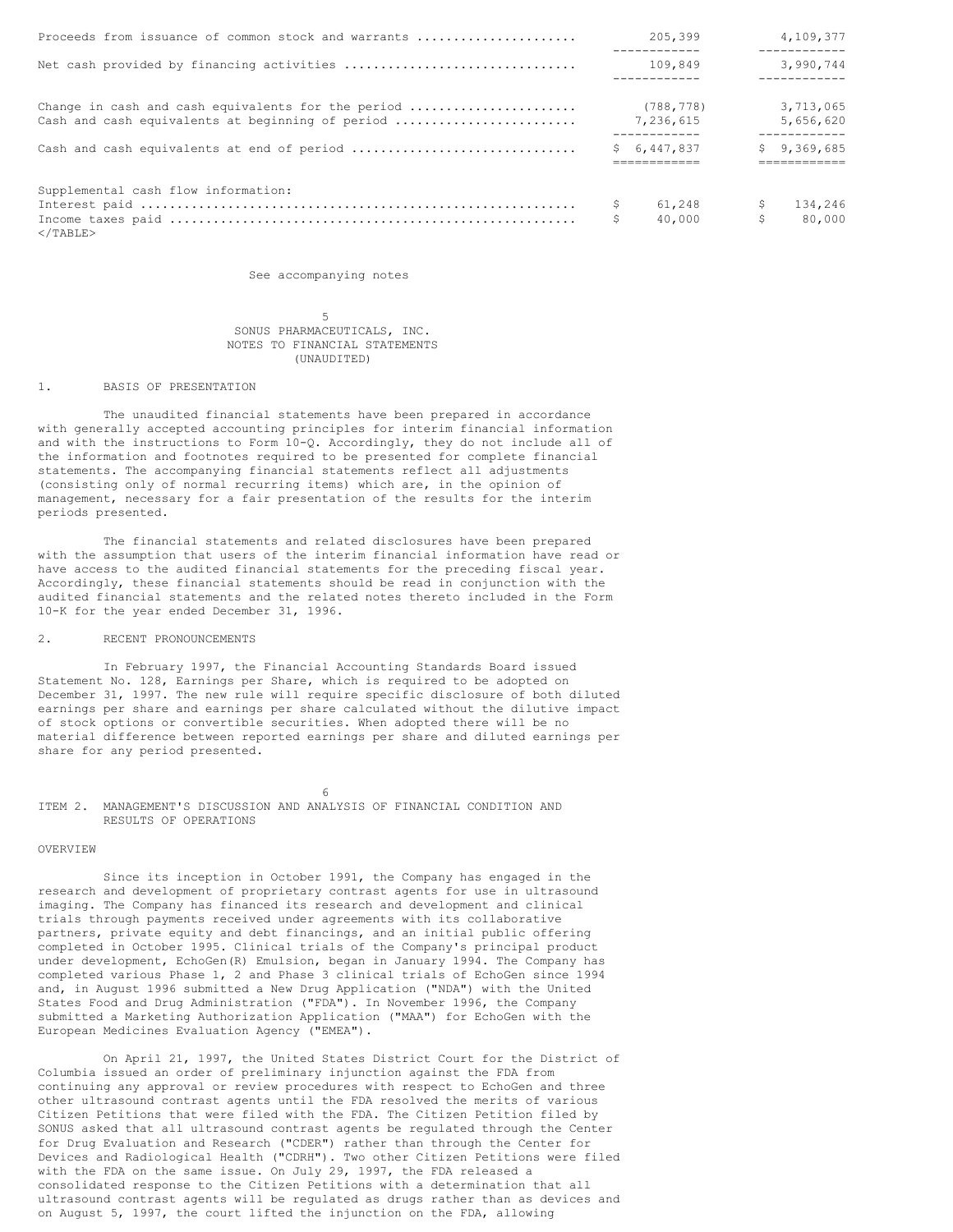| Proceeds from issuance of common stock and warrants                                                    | 205,399                                 |           | 4,109,377<br>------------              |
|--------------------------------------------------------------------------------------------------------|-----------------------------------------|-----------|----------------------------------------|
| Net cash provided by financing activities                                                              | 109,849                                 |           | 3,990,744<br>------------              |
| Change in cash and cash equivalents for the period<br>Cash and cash equivalents at beginning of period | (788, 778)<br>7,236,615<br>------------ |           | 3,713,065<br>5,656,620<br>------------ |
| Cash and cash equivalents at end of period                                                             | \$6,447,837                             |           | \$9,369,685                            |
| Supplemental cash flow information:<br>$<$ /TABLE>                                                     | \$<br>61,248<br>40,000                  | -S<br>\$. | 134,246<br>80,000                      |

See accompanying notes

5 SONUS PHARMACEUTICALS, INC. NOTES TO FINANCIAL STATEMENTS (UNAUDITED)

#### 1. BASIS OF PRESENTATION

The unaudited financial statements have been prepared in accordance with generally accepted accounting principles for interim financial information and with the instructions to Form 10-Q. Accordingly, they do not include all of the information and footnotes required to be presented for complete financial statements. The accompanying financial statements reflect all adjustments (consisting only of normal recurring items) which are, in the opinion of management, necessary for a fair presentation of the results for the interim periods presented.

The financial statements and related disclosures have been prepared with the assumption that users of the interim financial information have read or have access to the audited financial statements for the preceding fiscal year. Accordingly, these financial statements should be read in conjunction with the audited financial statements and the related notes thereto included in the Form 10-K for the year ended December 31, 1996.

### 2. RECENT PRONOUNCEMENTS

In February 1997, the Financial Accounting Standards Board issued Statement No. 128, Earnings per Share, which is required to be adopted on December 31, 1997. The new rule will require specific disclosure of both diluted earnings per share and earnings per share calculated without the dilutive impact of stock options or convertible securities. When adopted there will be no material difference between reported earnings per share and diluted earnings per share for any period presented.

6 ITEM 2. MANAGEMENT'S DISCUSSION AND ANALYSIS OF FINANCIAL CONDITION AND RESULTS OF OPERATIONS

### OVERVIEW

Since its inception in October 1991, the Company has engaged in the research and development of proprietary contrast agents for use in ultrasound imaging. The Company has financed its research and development and clinical trials through payments received under agreements with its collaborative partners, private equity and debt financings, and an initial public offering completed in October 1995. Clinical trials of the Company's principal product under development, EchoGen(R) Emulsion, began in January 1994. The Company has completed various Phase 1, 2 and Phase 3 clinical trials of EchoGen since 1994 and, in August 1996 submitted a New Drug Application ("NDA") with the United States Food and Drug Administration ("FDA"). In November 1996, the Company submitted a Marketing Authorization Application ("MAA") for EchoGen with the European Medicines Evaluation Agency ("EMEA").

On April 21, 1997, the United States District Court for the District of Columbia issued an order of preliminary injunction against the FDA from continuing any approval or review procedures with respect to EchoGen and three other ultrasound contrast agents until the FDA resolved the merits of various Citizen Petitions that were filed with the FDA. The Citizen Petition filed by SONUS asked that all ultrasound contrast agents be regulated through the Center for Drug Evaluation and Research ("CDER") rather than through the Center for Devices and Radiological Health ("CDRH"). Two other Citizen Petitions were filed with the FDA on the same issue. On July 29, 1997, the FDA released a consolidated response to the Citizen Petitions with a determination that all ultrasound contrast agents will be regulated as drugs rather than as devices and on August 5, 1997, the court lifted the injunction on the FDA, allowing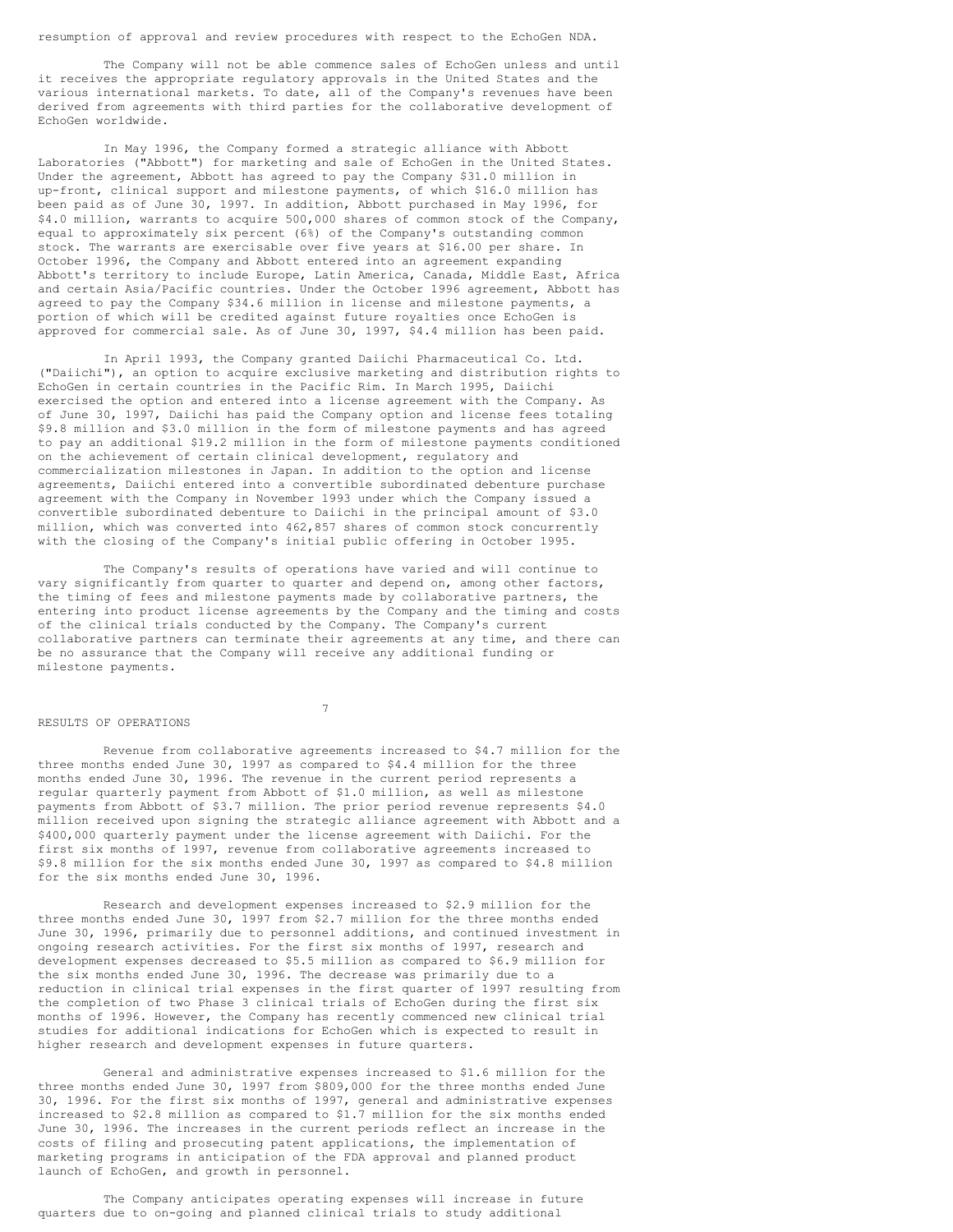resumption of approval and review procedures with respect to the EchoGen NDA.

The Company will not be able commence sales of EchoGen unless and until it receives the appropriate regulatory approvals in the United States and the various international markets. To date, all of the Company's revenues have been derived from agreements with third parties for the collaborative development of EchoGen worldwide.

In May 1996, the Company formed a strategic alliance with Abbott Laboratories ("Abbott") for marketing and sale of EchoGen in the United States. Under the agreement, Abbott has agreed to pay the Company \$31.0 million in up-front, clinical support and milestone payments, of which \$16.0 million has been paid as of June 30, 1997. In addition, Abbott purchased in May 1996, for \$4.0 million, warrants to acquire 500,000 shares of common stock of the Company, equal to approximately six percent (6%) of the Company's outstanding common stock. The warrants are exercisable over five years at \$16.00 per share. In October 1996, the Company and Abbott entered into an agreement expanding Abbott's territory to include Europe, Latin America, Canada, Middle East, Africa and certain Asia/Pacific countries. Under the October 1996 agreement, Abbott has agreed to pay the Company \$34.6 million in license and milestone payments, a portion of which will be credited against future royalties once EchoGen is approved for commercial sale. As of June 30, 1997, \$4.4 million has been paid.

In April 1993, the Company granted Daiichi Pharmaceutical Co. Ltd. ("Daiichi"), an option to acquire exclusive marketing and distribution rights to EchoGen in certain countries in the Pacific Rim. In March 1995, Daiichi exercised the option and entered into a license agreement with the Company. As of June 30, 1997, Daiichi has paid the Company option and license fees totaling \$9.8 million and \$3.0 million in the form of milestone payments and has agreed to pay an additional \$19.2 million in the form of milestone payments conditioned on the achievement of certain clinical development, regulatory and commercialization milestones in Japan. In addition to the option and license agreements, Daiichi entered into a convertible subordinated debenture purchase agreement with the Company in November 1993 under which the Company issued a convertible subordinated debenture to Daiichi in the principal amount of \$3.0 million, which was converted into 462,857 shares of common stock concurrently with the closing of the Company's initial public offering in October 1995.

The Company's results of operations have varied and will continue to vary significantly from quarter to quarter and depend on, among other factors, the timing of fees and milestone payments made by collaborative partners, the entering into product license agreements by the Company and the timing and costs of the clinical trials conducted by the Company. The Company's current collaborative partners can terminate their agreements at any time, and there can be no assurance that the Company will receive any additional funding or milestone payments.

7

## RESULTS OF OPERATIONS

Revenue from collaborative agreements increased to \$4.7 million for the three months ended June 30, 1997 as compared to \$4.4 million for the three months ended June 30, 1996. The revenue in the current period represents a regular quarterly payment from Abbott of \$1.0 million, as well as milestone payments from Abbott of \$3.7 million. The prior period revenue represents \$4.0 million received upon signing the strategic alliance agreement with Abbott and a \$400,000 quarterly payment under the license agreement with Daiichi. For the first six months of 1997, revenue from collaborative agreements increased to \$9.8 million for the six months ended June 30, 1997 as compared to \$4.8 million for the six months ended June 30, 1996.

Research and development expenses increased to \$2.9 million for the three months ended June 30, 1997 from \$2.7 million for the three months ended June 30, 1996, primarily due to personnel additions, and continued investment in ongoing research activities. For the first six months of 1997, research and development expenses decreased to \$5.5 million as compared to \$6.9 million for the six months ended June 30, 1996. The decrease was primarily due to a reduction in clinical trial expenses in the first quarter of 1997 resulting from the completion of two Phase 3 clinical trials of EchoGen during the first six months of 1996. However, the Company has recently commenced new clinical trial studies for additional indications for EchoGen which is expected to result in higher research and development expenses in future quarters.

General and administrative expenses increased to \$1.6 million for the three months ended June 30, 1997 from \$809,000 for the three months ended June 30, 1996. For the first six months of 1997, general and administrative expenses increased to \$2.8 million as compared to \$1.7 million for the six months ended June 30, 1996. The increases in the current periods reflect an increase in the costs of filing and prosecuting patent applications, the implementation of marketing programs in anticipation of the FDA approval and planned product launch of EchoGen, and growth in personnel.

The Company anticipates operating expenses will increase in future quarters due to on-going and planned clinical trials to study additional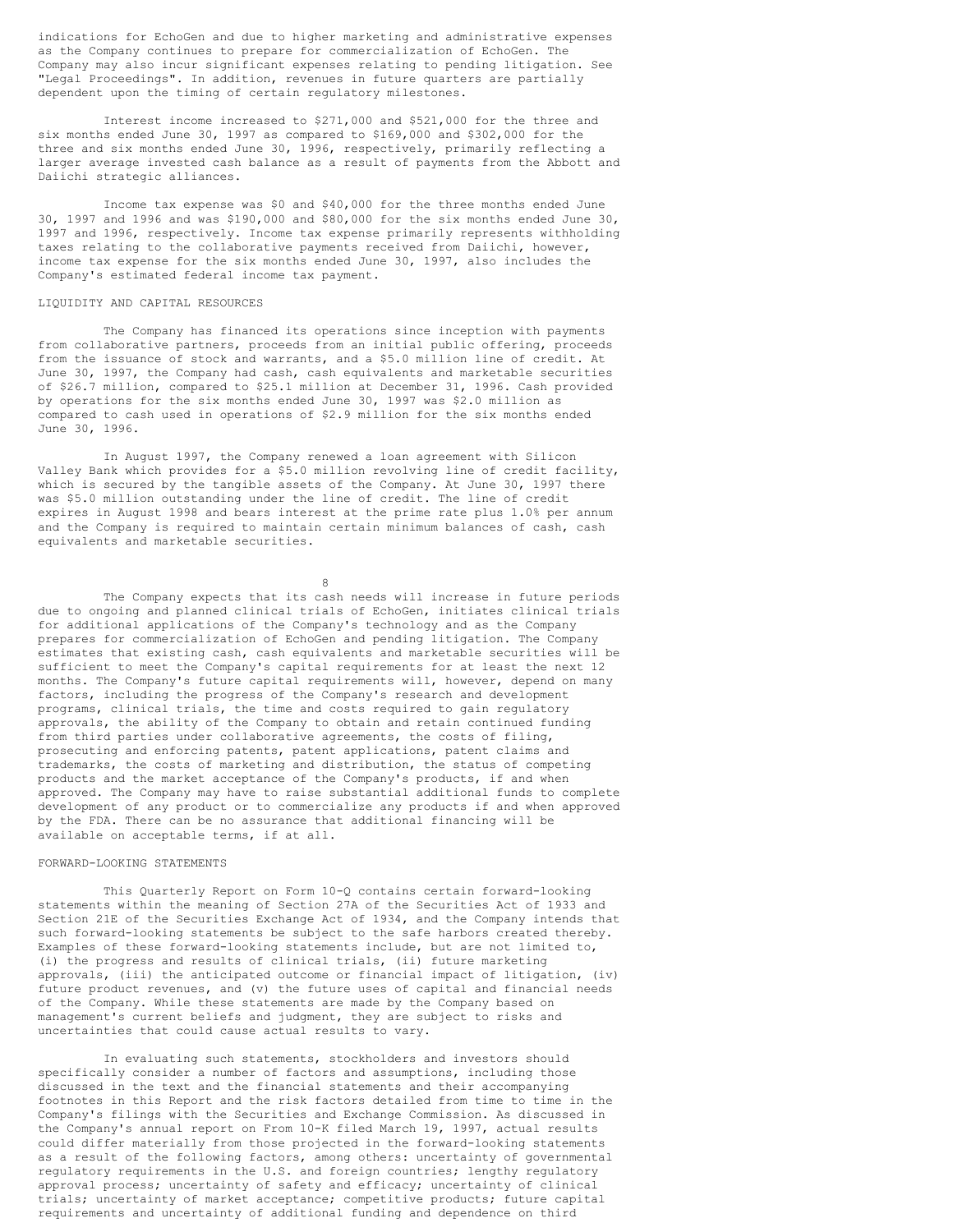indications for EchoGen and due to higher marketing and administrative expenses as the Company continues to prepare for commercialization of EchoGen. The Company may also incur significant expenses relating to pending litigation. See "Legal Proceedings". In addition, revenues in future quarters are partially dependent upon the timing of certain regulatory milestones.

Interest income increased to \$271,000 and \$521,000 for the three and six months ended June 30, 1997 as compared to \$169,000 and \$302,000 for the three and six months ended June 30, 1996, respectively, primarily reflecting a larger average invested cash balance as a result of payments from the Abbott and Daiichi strategic alliances.

Income tax expense was \$0 and \$40,000 for the three months ended June 30, 1997 and 1996 and was \$190,000 and \$80,000 for the six months ended June 30, 1997 and 1996, respectively. Income tax expense primarily represents withholding taxes relating to the collaborative payments received from Daiichi, however, income tax expense for the six months ended June 30, 1997, also includes the Company's estimated federal income tax payment.

#### LIQUIDITY AND CAPITAL RESOURCES

The Company has financed its operations since inception with payments from collaborative partners, proceeds from an initial public offering, proceeds from the issuance of stock and warrants, and a \$5.0 million line of credit. At June 30, 1997, the Company had cash, cash equivalents and marketable securities of \$26.7 million, compared to \$25.1 million at December 31, 1996. Cash provided by operations for the six months ended June 30, 1997 was \$2.0 million as compared to cash used in operations of \$2.9 million for the six months ended June 30, 1996.

In August 1997, the Company renewed a loan agreement with Silicon Valley Bank which provides for a \$5.0 million revolving line of credit facility, which is secured by the tangible assets of the Company. At June 30, 1997 there was \$5.0 million outstanding under the line of credit. The line of credit expires in August 1998 and bears interest at the prime rate plus 1.0% per annum and the Company is required to maintain certain minimum balances of cash, cash equivalents and marketable securities.

8

The Company expects that its cash needs will increase in future periods due to ongoing and planned clinical trials of EchoGen, initiates clinical trials for additional applications of the Company's technology and as the Company prepares for commercialization of EchoGen and pending litigation. The Company estimates that existing cash, cash equivalents and marketable securities will be sufficient to meet the Company's capital requirements for at least the next 12 months. The Company's future capital requirements will, however, depend on many factors, including the progress of the Company's research and development programs, clinical trials, the time and costs required to gain regulatory approvals, the ability of the Company to obtain and retain continued funding from third parties under collaborative agreements, the costs of filing, prosecuting and enforcing patents, patent applications, patent claims and trademarks, the costs of marketing and distribution, the status of competing products and the market acceptance of the Company's products, if and when approved. The Company may have to raise substantial additional funds to complete development of any product or to commercialize any products if and when approved by the FDA. There can be no assurance that additional financing will be available on acceptable terms, if at all.

## FORWARD-LOOKING STATEMENTS

This Quarterly Report on Form 10-Q contains certain forward-looking statements within the meaning of Section 27A of the Securities Act of 1933 and Section 21E of the Securities Exchange Act of 1934, and the Company intends that such forward-looking statements be subject to the safe harbors created thereby. Examples of these forward-looking statements include, but are not limited to, (i) the progress and results of clinical trials, (ii) future marketing approvals, (iii) the anticipated outcome or financial impact of litigation, (iv) future product revenues, and (v) the future uses of capital and financial needs of the Company. While these statements are made by the Company based on management's current beliefs and judgment, they are subject to risks and uncertainties that could cause actual results to vary.

In evaluating such statements, stockholders and investors should specifically consider a number of factors and assumptions, including those discussed in the text and the financial statements and their accompanying footnotes in this Report and the risk factors detailed from time to time in the Company's filings with the Securities and Exchange Commission. As discussed in the Company's annual report on From 10-K filed March 19, 1997, actual results could differ materially from those projected in the forward-looking statements as a result of the following factors, among others: uncertainty of governmental regulatory requirements in the U.S. and foreign countries; lengthy regulatory approval process; uncertainty of safety and efficacy; uncertainty of clinical trials; uncertainty of market acceptance; competitive products; future capital requirements and uncertainty of additional funding and dependence on third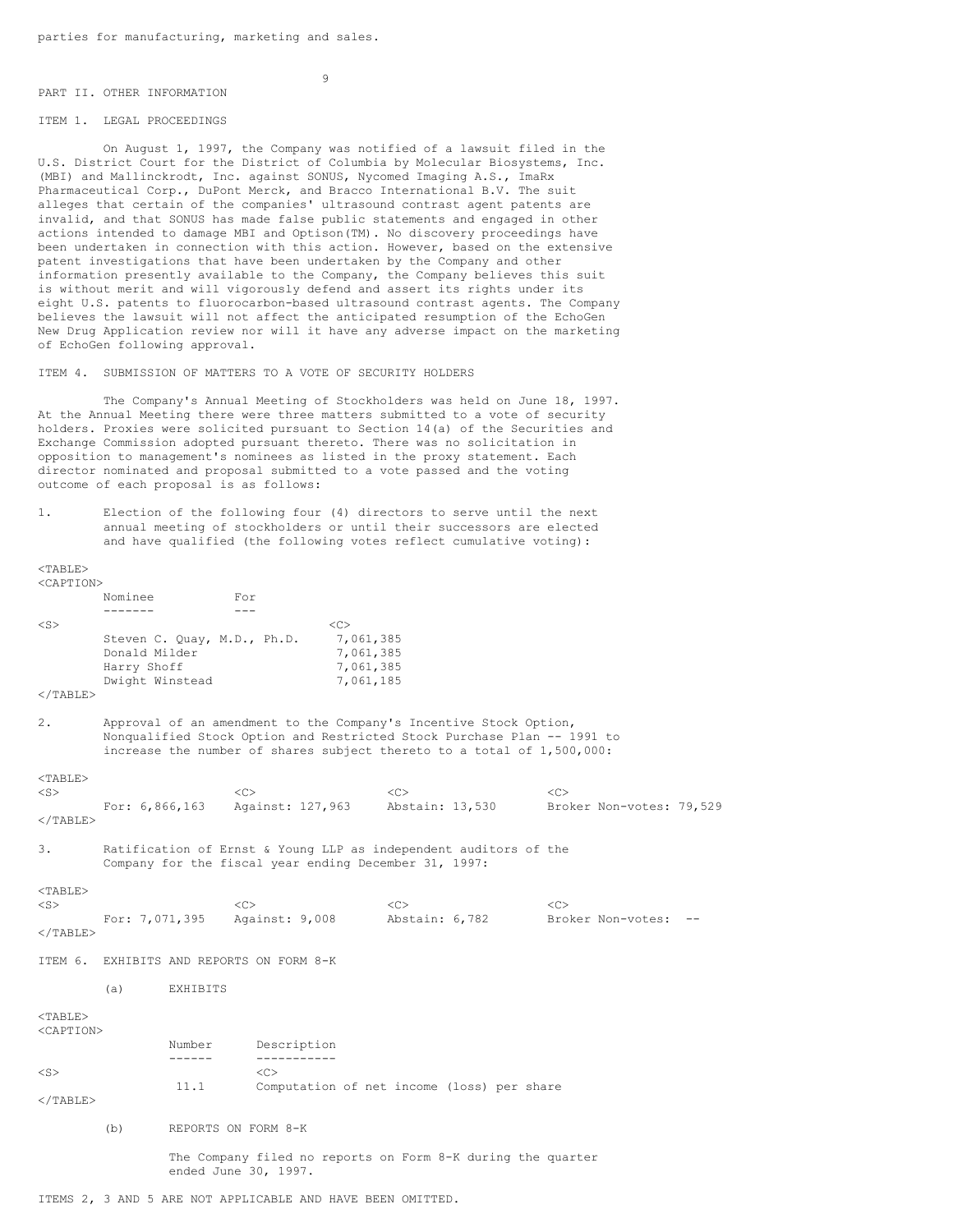#### PART II. OTHER INFORMATION

# 9

### ITEM 1. LEGAL PROCEEDINGS

 $<$ TABLE>

On August 1, 1997, the Company was notified of a lawsuit filed in the U.S. District Court for the District of Columbia by Molecular Biosystems, Inc. (MBI) and Mallinckrodt, Inc. against SONUS, Nycomed Imaging A.S., ImaRx Pharmaceutical Corp., DuPont Merck, and Bracco International B.V. The suit alleges that certain of the companies' ultrasound contrast agent patents are invalid, and that SONUS has made false public statements and engaged in other actions intended to damage MBI and Optison(TM). No discovery proceedings have been undertaken in connection with this action. However, based on the extensive patent investigations that have been undertaken by the Company and other information presently available to the Company, the Company believes this suit is without merit and will vigorously defend and assert its rights under its eight U.S. patents to fluorocarbon-based ultrasound contrast agents. The Company believes the lawsuit will not affect the anticipated resumption of the EchoGen New Drug Application review nor will it have any adverse impact on the marketing of EchoGen following approval.

ITEM 4. SUBMISSION OF MATTERS TO A VOTE OF SECURITY HOLDERS

The Company's Annual Meeting of Stockholders was held on June 18, 1997. At the Annual Meeting there were three matters submitted to a vote of security holders. Proxies were solicited pursuant to Section 14(a) of the Securities and Exchange Commission adopted pursuant thereto. There was no solicitation in opposition to management's nominees as listed in the proxy statement. Each director nominated and proposal submitted to a vote passed and the voting outcome of each proposal is as follows:

1. Election of the following four (4) directors to serve until the next annual meeting of stockholders or until their successors are elected and have qualified (the following votes reflect cumulative voting):

| <caption></caption>                          |                              |                |                                                                                                                                                                                                                        |                                           |                      |                                            |                                |  |
|----------------------------------------------|------------------------------|----------------|------------------------------------------------------------------------------------------------------------------------------------------------------------------------------------------------------------------------|-------------------------------------------|----------------------|--------------------------------------------|--------------------------------|--|
|                                              | Nominee<br>-------           |                | For<br>$---$                                                                                                                                                                                                           |                                           |                      |                                            |                                |  |
| $<$ S $>$                                    | Donald Milder<br>Harry Shoff |                | Steven C. Quay, M.D., Ph.D.                                                                                                                                                                                            | <<<br>7,061,385<br>7,061,385<br>7,061,385 |                      |                                            |                                |  |
| $<$ /TABLE>                                  | Dwight Winstead              |                |                                                                                                                                                                                                                        | 7,061,185                                 |                      |                                            |                                |  |
| 2.                                           |                              |                | Approval of an amendment to the Company's Incentive Stock Option,<br>Nonqualified Stock Option and Restricted Stock Purchase Plan -- 1991 to<br>increase the number of shares subject thereto to a total of 1,500,000: |                                           |                      |                                            |                                |  |
| $<$ TABLE><br>$<$ S $>$<br>$\langle$ /TABLE> |                              |                | <<<br>For: 6,866,163 Against: 127,963 Abstain: 13,530                                                                                                                                                                  |                                           | <<                   |                                            | <<<br>Broker Non-votes: 79,529 |  |
| 3.                                           |                              |                | Ratification of Ernst & Young LLP as independent auditors of the<br>Company for the fiscal year ending December 31, 1997:                                                                                              |                                           |                      |                                            |                                |  |
| $<$ TABLE><br>$<$ S $>$<br>$\langle$ /TABLE> |                              |                | <<<br>For: 7,071,395 Against: 9,008                                                                                                                                                                                    |                                           | <<<br>Abstain: 6,782 |                                            | <<<br>Broker Non-votes:        |  |
|                                              |                              |                | ITEM 6. EXHIBITS AND REPORTS ON FORM 8-K                                                                                                                                                                               |                                           |                      |                                            |                                |  |
|                                              | (a)                          | EXHIBITS       |                                                                                                                                                                                                                        |                                           |                      |                                            |                                |  |
| $<$ TABLE><br><caption></caption>            |                              | Number         | Description                                                                                                                                                                                                            |                                           |                      |                                            |                                |  |
| $<$ S $>$<br>$\langle$ /TABLE>               |                              | ------<br>11.1 | -----------<br><<                                                                                                                                                                                                      |                                           |                      | Computation of net income (loss) per share |                                |  |
|                                              | (b)                          |                | REPORTS ON FORM 8-K                                                                                                                                                                                                    |                                           |                      |                                            |                                |  |
|                                              |                              |                | The Company filed no reports on Form 8-K during the quarter<br>ended June 30, 1997.                                                                                                                                    |                                           |                      |                                            |                                |  |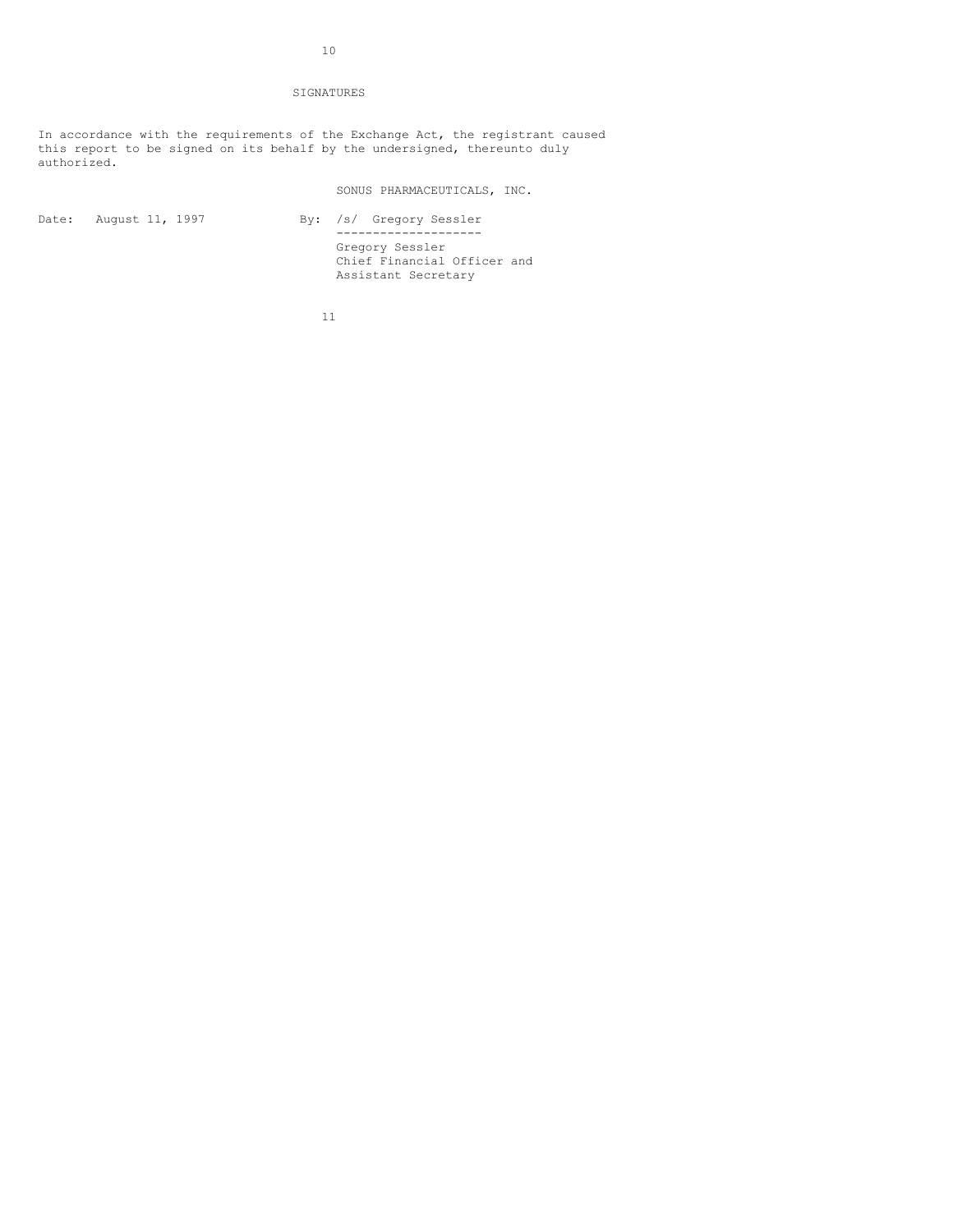## SIGNATURES

In accordance with the requirements of the Exchange Act, the registrant caused this report to be signed on its behalf by the undersigned, thereunto duly authorized.

SONUS PHARMACEUTICALS, INC.

| Date: August 11, 1997 | $\text{By:}$ / |  |
|-----------------------|----------------|--|
|                       |                |  |
|                       |                |  |

/s/ Gregory Sessler -------------------- Gregory Sessler Chief Financial Officer and Assistant Secretary

11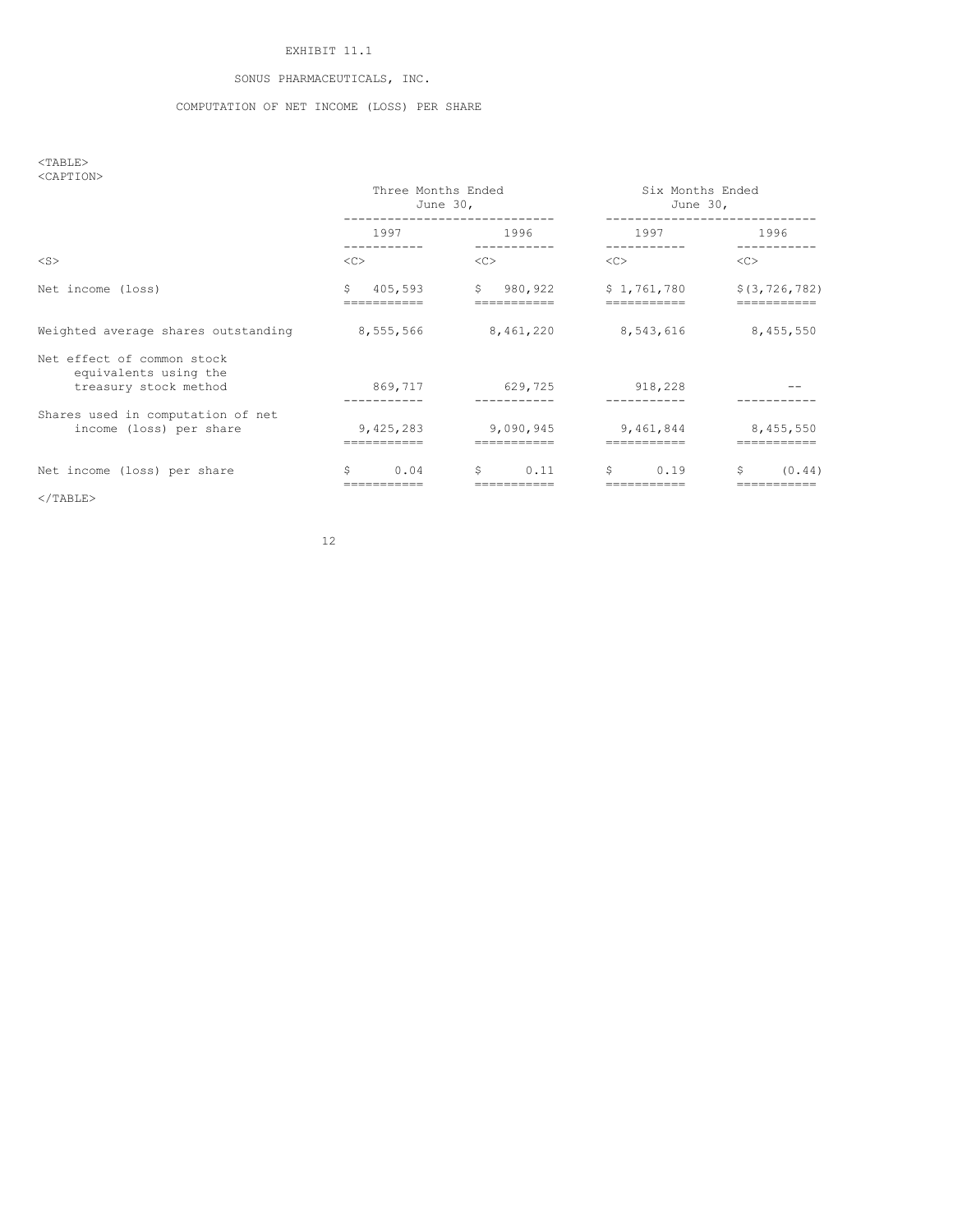# EXHIBIT 11.1

# SONUS PHARMACEUTICALS, INC.

## COMPUTATION OF NET INCOME (LOSS) PER SHARE

 $<$ TABLE $>$ <CAPTION>

|                                                                              | Three Months Ended<br>June 30, |                         | Six Months Ended<br>June 30, |                 |
|------------------------------------------------------------------------------|--------------------------------|-------------------------|------------------------------|-----------------|
|                                                                              | 1997                           | 1996                    | 1997                         | 1996            |
| $<$ S $>$                                                                    | <<                             | <<                      | <<                           | <<              |
| Net income (loss)                                                            | Ŝ.<br>405,593                  | $\mathsf{S}$<br>980,922 | \$1,761,780                  | \$(3, 726, 782) |
| Weighted average shares outstanding                                          | 8,555,566                      | 8,461,220               | 8,543,616                    | 8,455,550       |
| Net effect of common stock<br>equivalents using the<br>treasury stock method | 869,717                        | 629,725                 | 918,228                      |                 |
| Shares used in computation of net<br>income (loss) per share                 | 9,425,283                      | 9,090,945               | 9,461,844                    | 8,455,550       |
| Net income (loss) per share                                                  | S<br>0.04                      | \$<br>0.11              | \$<br>0.19                   | S.<br>(0.44)    |

 $\rm <$  /TABLE>

12